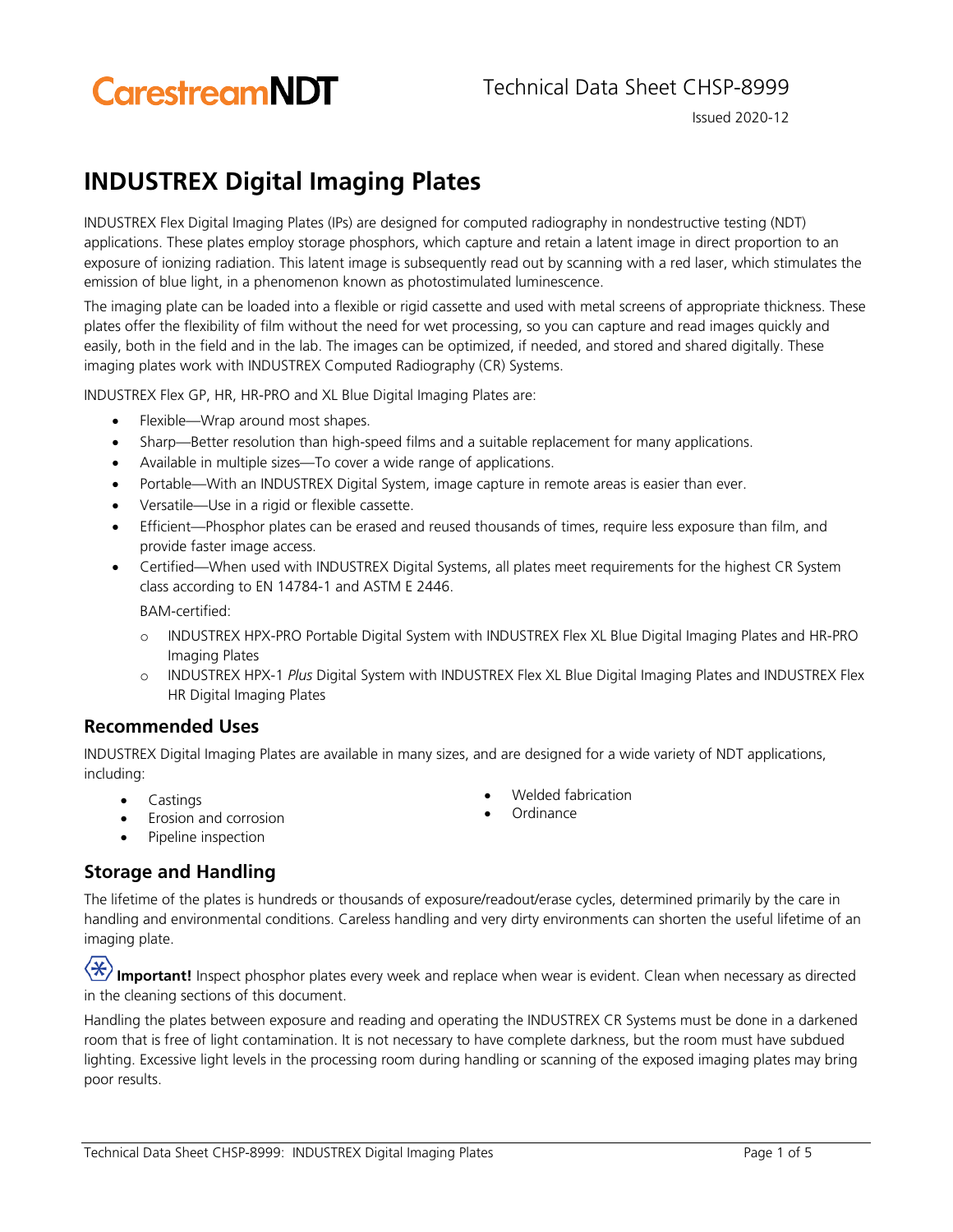# **CarestreamNDT**

### Technical Data Sheet CHSP-8999

Issued 2020-12

## **INDUSTREX Digital Imaging Plates**

INDUSTREX Flex Digital Imaging Plates (IPs) are designed for computed radiography in nondestructive testing (NDT) applications. These plates employ storage phosphors, which capture and retain a latent image in direct proportion to an exposure of ionizing radiation. This latent image is subsequently read out by scanning with a red laser, which stimulates the emission of blue light, in a phenomenon known as photostimulated luminescence.

The imaging plate can be loaded into a flexible or rigid cassette and used with metal screens of appropriate thickness. These plates offer the flexibility of film without the need for wet processing, so you can capture and read images quickly and easily, both in the field and in the lab. The images can be optimized, if needed, and stored and shared digitally. These imaging plates work with INDUSTREX Computed Radiography (CR) Systems.

INDUSTREX Flex GP, HR, HR-PRO and XL Blue Digital Imaging Plates are:

- Flexible—Wrap around most shapes.
- Sharp—Better resolution than high-speed films and a suitable replacement for many applications.
- Available in multiple sizes—To cover a wide range of applications.
- Portable—With an INDUSTREX Digital System, image capture in remote areas is easier than ever.
- Versatile—Use in a rigid or flexible cassette.
- Efficient—Phosphor plates can be erased and reused thousands of times, require less exposure than film, and provide faster image access.
- Certified—When used with INDUSTREX Digital Systems, all plates meet requirements for the highest CR System class according to EN 14784-1 and ASTM E 2446.

BAM-certified:

- o INDUSTREX HPX-PRO Portable Digital System with INDUSTREX Flex XL Blue Digital Imaging Plates and HR-PRO Imaging Plates
- o INDUSTREX HPX-1 *Plus* Digital System with INDUSTREX Flex XL Blue Digital Imaging Plates and INDUSTREX Flex HR Digital Imaging Plates

### **Recommended Uses**

INDUSTREX Digital Imaging Plates are available in many sizes, and are designed for a wide variety of NDT applications, including:

- Castings
- Erosion and corrosion
- Welded fabrication
- **Ordinance**

• Pipeline inspection

### **Storage and Handling**

The lifetime of the plates is hundreds or thousands of exposure/readout/erase cycles, determined primarily by the care in handling and environmental conditions. Careless handling and very dirty environments can shorten the useful lifetime of an imaging plate.

Important! Inspect phosphor plates every week and replace when wear is evident. Clean when necessary as directed in the cleaning sections of this document.

Handling the plates between exposure and reading and operating the INDUSTREX CR Systems must be done in a darkened room that is free of light contamination. It is not necessary to have complete darkness, but the room must have subdued lighting. Excessive light levels in the processing room during handling or scanning of the exposed imaging plates may bring poor results.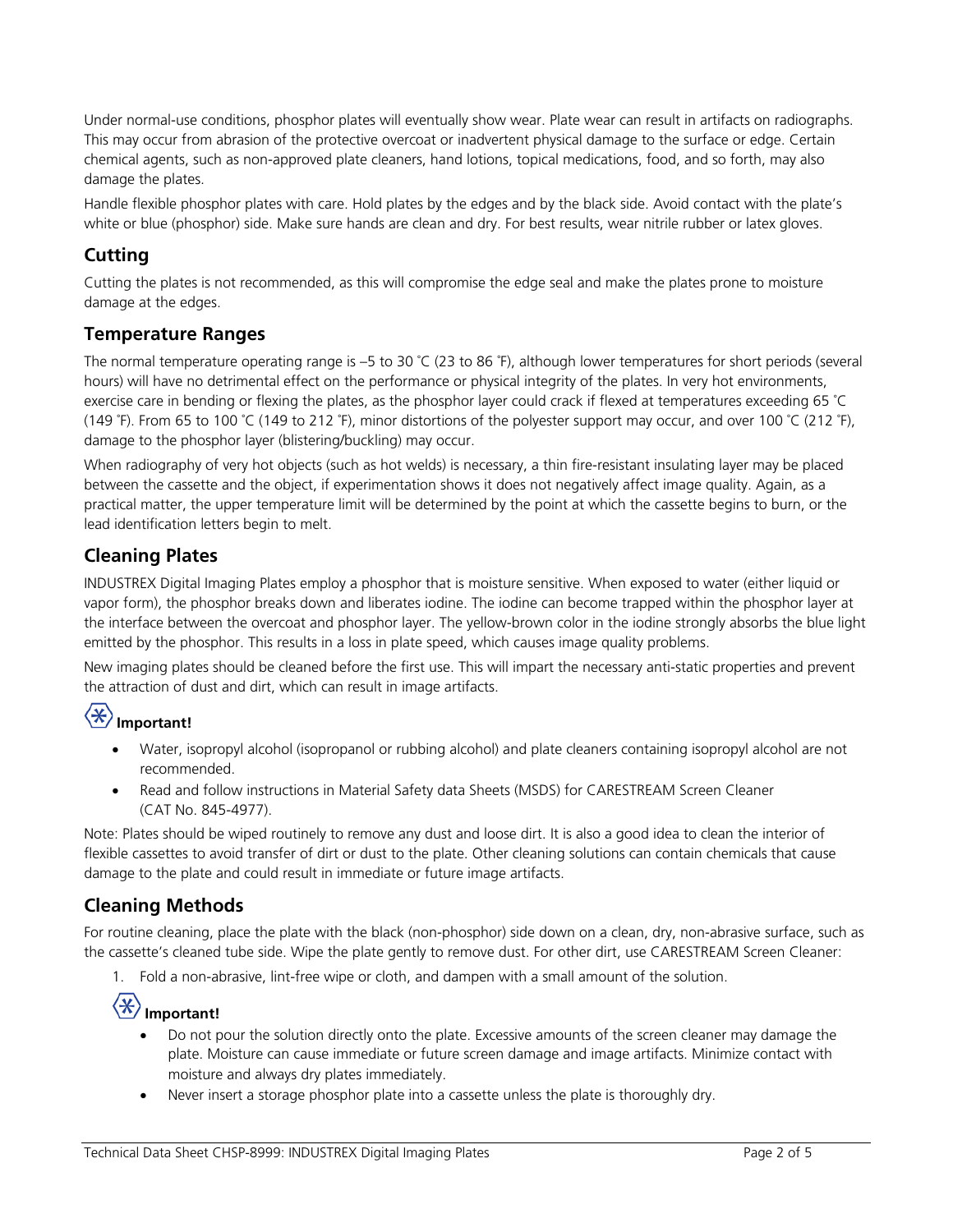Under normal-use conditions, phosphor plates will eventually show wear. Plate wear can result in artifacts on radiographs. This may occur from abrasion of the protective overcoat or inadvertent physical damage to the surface or edge. Certain chemical agents, such as non-approved plate cleaners, hand lotions, topical medications, food, and so forth, may also damage the plates.

Handle flexible phosphor plates with care. Hold plates by the edges and by the black side. Avoid contact with the plate's white or blue (phosphor) side. Make sure hands are clean and dry. For best results, wear nitrile rubber or latex gloves.

### **Cutting**

Cutting the plates is not recommended, as this will compromise the edge seal and make the plates prone to moisture damage at the edges.

### **Temperature Ranges**

The normal temperature operating range is  $-5$  to 30 °C (23 to 86 °F), although lower temperatures for short periods (several hours) will have no detrimental effect on the performance or physical integrity of the plates. In very hot environments, exercise care in bending or flexing the plates, as the phosphor layer could crack if flexed at temperatures exceeding 65 ˚C (149 °F). From 65 to 100 °C (149 to 212 °F), minor distortions of the polyester support may occur, and over 100 °C (212 °F), damage to the phosphor layer (blistering/buckling) may occur.

When radiography of very hot objects (such as hot welds) is necessary, a thin fire-resistant insulating layer may be placed between the cassette and the object, if experimentation shows it does not negatively affect image quality. Again, as a practical matter, the upper temperature limit will be determined by the point at which the cassette begins to burn, or the lead identification letters begin to melt.

### **Cleaning Plates**

INDUSTREX Digital Imaging Plates employ a phosphor that is moisture sensitive. When exposed to water (either liquid or vapor form), the phosphor breaks down and liberates iodine. The iodine can become trapped within the phosphor layer at the interface between the overcoat and phosphor layer. The yellow-brown color in the iodine strongly absorbs the blue light emitted by the phosphor. This results in a loss in plate speed, which causes image quality problems.

New imaging plates should be cleaned before the first use. This will impart the necessary anti-static properties and prevent the attraction of dust and dirt, which can result in image artifacts.

## **Important!**

- Water, isopropyl alcohol (isopropanol or rubbing alcohol) and plate cleaners containing isopropyl alcohol are not recommended.
- Read and follow instructions in Material Safety data Sheets (MSDS) for CARESTREAM Screen Cleaner (CAT No. 845-4977).

Note: Plates should be wiped routinely to remove any dust and loose dirt. It is also a good idea to clean the interior of flexible cassettes to avoid transfer of dirt or dust to the plate. Other cleaning solutions can contain chemicals that cause damage to the plate and could result in immediate or future image artifacts.

### **Cleaning Methods**

For routine cleaning, place the plate with the black (non-phosphor) side down on a clean, dry, non-abrasive surface, such as the cassette's cleaned tube side. Wipe the plate gently to remove dust. For other dirt, use CARESTREAM Screen Cleaner:

1. Fold a non-abrasive, lint-free wipe or cloth, and dampen with a small amount of the solution.

## **Important!**

- Do not pour the solution directly onto the plate. Excessive amounts of the screen cleaner may damage the plate. Moisture can cause immediate or future screen damage and image artifacts. Minimize contact with moisture and always dry plates immediately.
- Never insert a storage phosphor plate into a cassette unless the plate is thoroughly dry.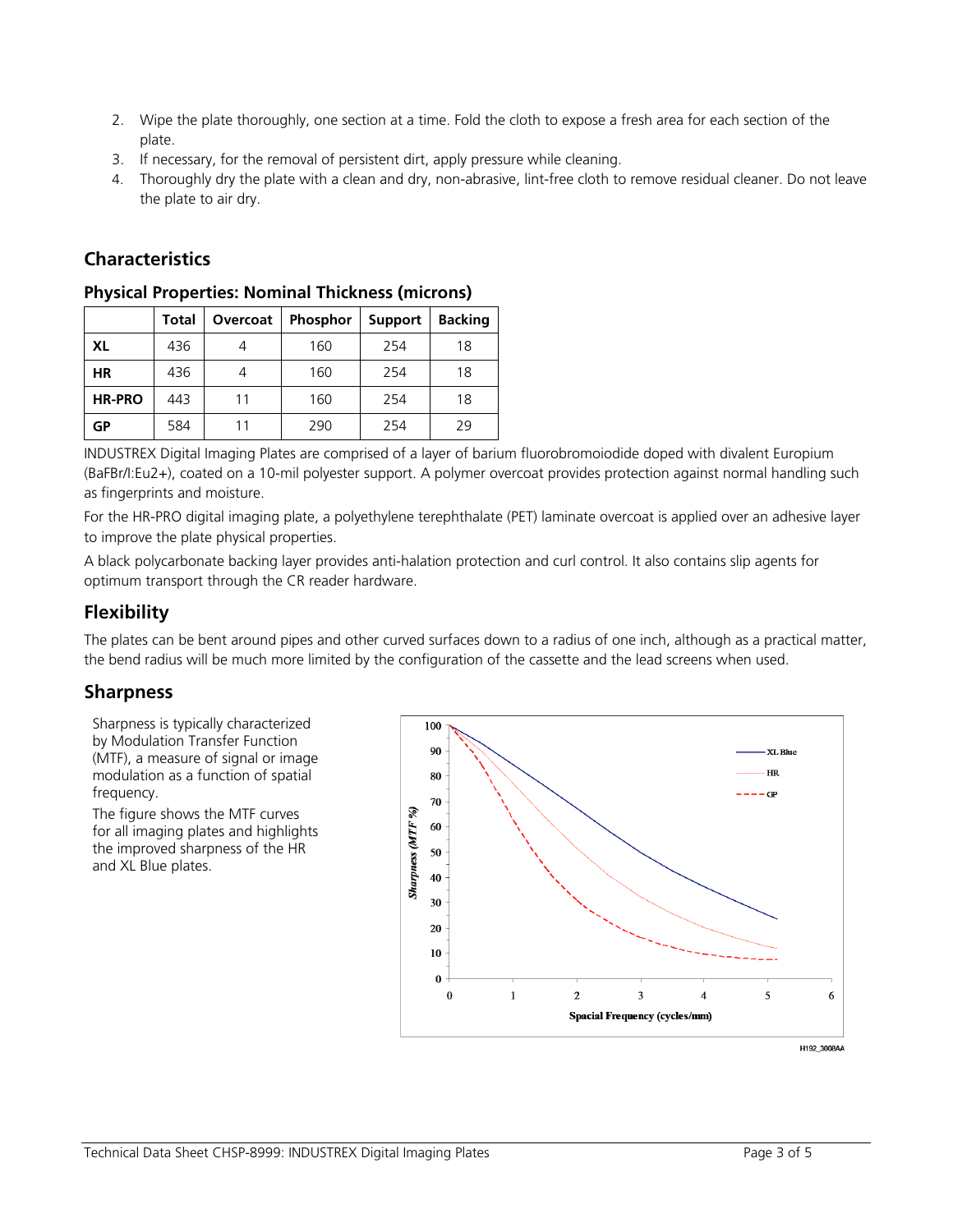- 2. Wipe the plate thoroughly, one section at a time. Fold the cloth to expose a fresh area for each section of the plate.
- 3. If necessary, for the removal of persistent dirt, apply pressure while cleaning.
- 4. Thoroughly dry the plate with a clean and dry, non-abrasive, lint-free cloth to remove residual cleaner. Do not leave the plate to air dry.

### **Characteristics**

|               | Total | Overcoat | <b>Phosphor</b> | <b>Support</b> | <b>Backing</b> |
|---------------|-------|----------|-----------------|----------------|----------------|
| <b>XL</b>     | 436   |          | 160             | 254            | 18             |
| <b>HR</b>     | 436   |          | 160             | 254            | 18             |
| <b>HR-PRO</b> | 443   | 11       | 160             | 254            | 18             |
| GР            | 584   |          | 290             | 254            | 29             |

#### **Physical Properties: Nominal Thickness (microns)**

INDUSTREX Digital Imaging Plates are comprised of a layer of barium fluorobromoiodide doped with divalent Europium (BaFBr/I:Eu2+), coated on a 10-mil polyester support. A polymer overcoat provides protection against normal handling such as fingerprints and moisture.

For the HR-PRO digital imaging plate, a polyethylene terephthalate (PET) laminate overcoat is applied over an adhesive layer to improve the plate physical properties.

A black polycarbonate backing layer provides anti-halation protection and curl control. It also contains slip agents for optimum transport through the CR reader hardware.

### **Flexibility**

The plates can be bent around pipes and other curved surfaces down to a radius of one inch, although as a practical matter, the bend radius will be much more limited by the configuration of the cassette and the lead screens when used.

### **Sharpness**

Sharpness is typically characterized by Modulation Transfer Function (MTF), a measure of signal or image modulation as a function of spatial frequency.

The figure shows the MTF curves for all imaging plates and highlights the improved sharpness of the HR and XL Blue plates.

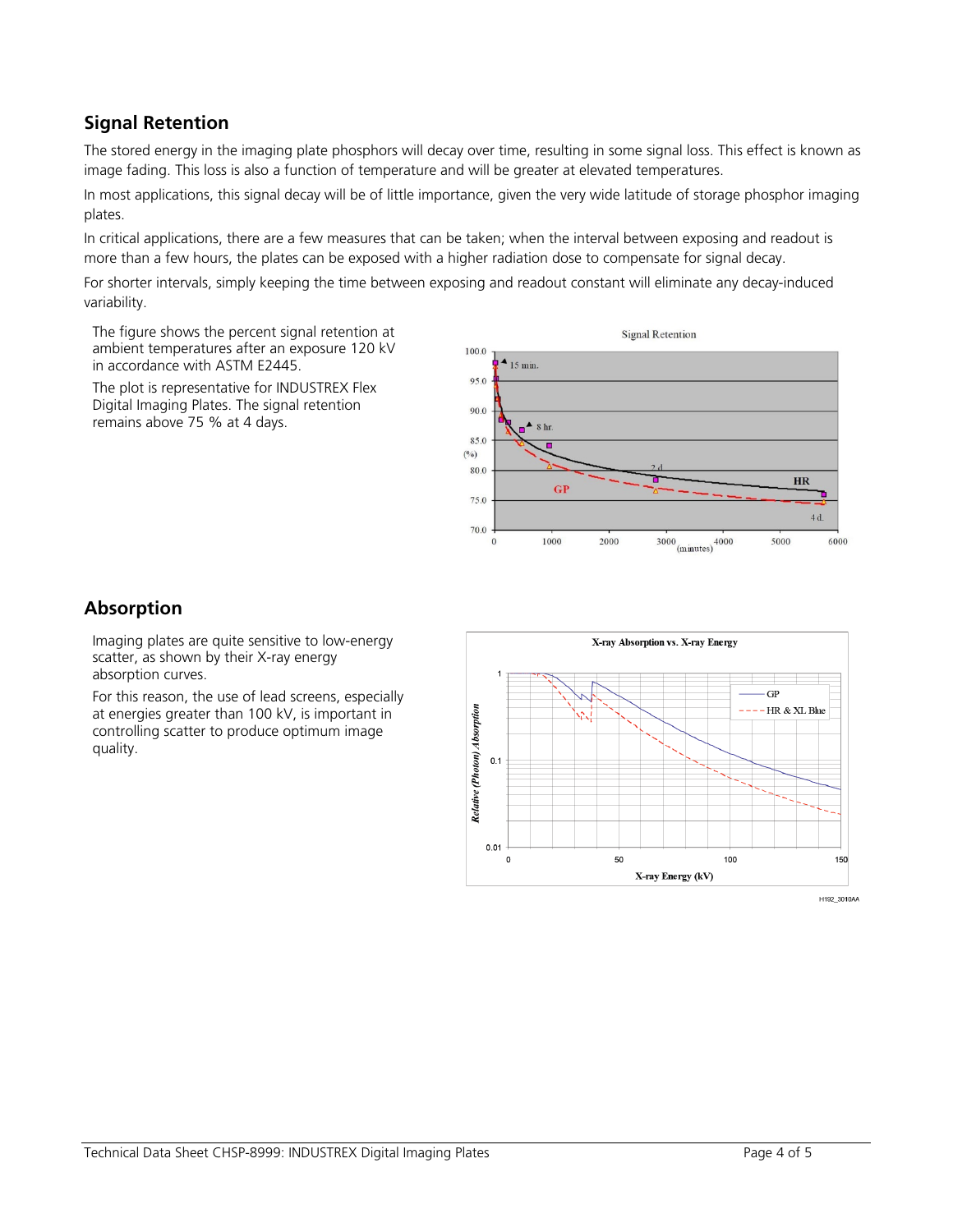### **Signal Retention**

The stored energy in the imaging plate phosphors will decay over time, resulting in some signal loss. This effect is known as image fading. This loss is also a function of temperature and will be greater at elevated temperatures.

In most applications, this signal decay will be of little importance, given the very wide latitude of storage phosphor imaging plates.

In critical applications, there are a few measures that can be taken; when the interval between exposing and readout is more than a few hours, the plates can be exposed with a higher radiation dose to compensate for signal decay.

For shorter intervals, simply keeping the time between exposing and readout constant will eliminate any decay-induced variability.

The figure shows the percent signal retention at ambient temperatures after an exposure 120 kV in accordance with ASTM E2445.

The plot is representative for INDUSTREX Flex Digital Imaging Plates. The signal retention remains above 75 % at 4 days.



### **Absorption**

Imaging plates are quite sensitive to low-energy scatter, as shown by their X-ray energy absorption curves.

For this reason, the use of lead screens, especially at energies greater than 100 kV, is important in controlling scatter to produce optimum image quality.